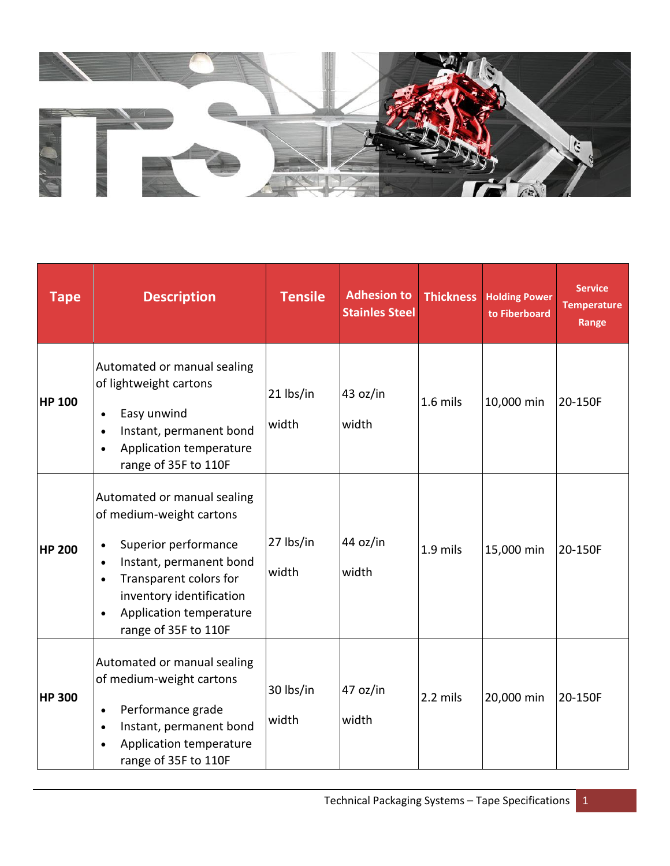

| <b>Tape</b>   | <b>Description</b>                                                                                                                                                                                                                                                      | <b>Tensile</b>     | <b>Adhesion to</b><br><b>Stainles Steel</b> | <b>Thickness</b> | <b>Holding Power</b><br>to Fiberboard | <b>Service</b><br><b>Temperature</b><br>Range |
|---------------|-------------------------------------------------------------------------------------------------------------------------------------------------------------------------------------------------------------------------------------------------------------------------|--------------------|---------------------------------------------|------------------|---------------------------------------|-----------------------------------------------|
| <b>HP 100</b> | Automated or manual sealing<br>of lightweight cartons<br>Easy unwind<br>$\bullet$<br>Instant, permanent bond<br>$\bullet$<br>Application temperature<br>$\bullet$<br>range of 35F to 110F                                                                               | 21 lbs/in<br>width | 43 oz/in<br>width                           | $1.6$ mils       | 10,000 min                            | 20-150F                                       |
| <b>HP 200</b> | Automated or manual sealing<br>of medium-weight cartons<br>Superior performance<br>$\bullet$<br>Instant, permanent bond<br>$\bullet$<br>Transparent colors for<br>$\bullet$<br>inventory identification<br>Application temperature<br>$\bullet$<br>range of 35F to 110F | 27 lbs/in<br>width | 44 oz/in<br>width                           | 1.9 mils         | 15,000 min                            | 20-150F                                       |
| <b>HP 300</b> | Automated or manual sealing<br>of medium-weight cartons<br>Performance grade<br>$\bullet$<br>Instant, permanent bond<br>$\bullet$<br>Application temperature<br>range of 35F to 110F                                                                                    | 30 lbs/in<br>width | 47 oz/in<br>width                           | 2.2 mils         | 20,000 min                            | 20-150F                                       |